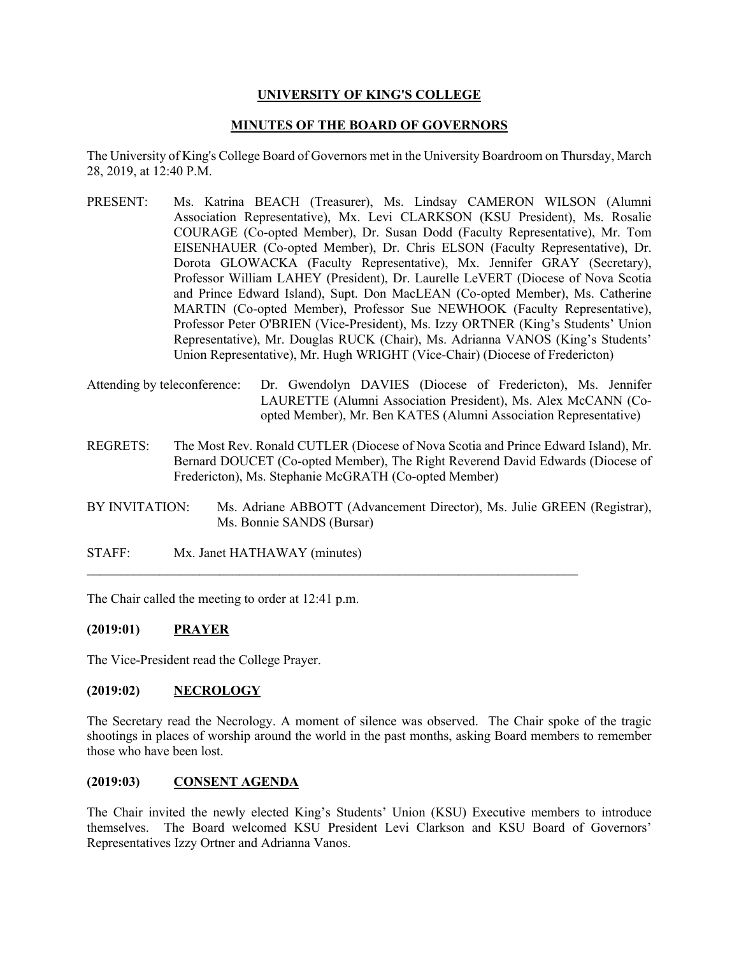## **UNIVERSITY OF KING'S COLLEGE**

### **MINUTES OF THE BOARD OF GOVERNORS**

The University of King's College Board of Governors met in the University Boardroom on Thursday, March 28, 2019, at 12:40 P.M.

- PRESENT: Ms. Katrina BEACH (Treasurer), Ms. Lindsay CAMERON WILSON (Alumni Association Representative), Mx. Levi CLARKSON (KSU President), Ms. Rosalie COURAGE (Co-opted Member), Dr. Susan Dodd (Faculty Representative), Mr. Tom EISENHAUER (Co-opted Member), Dr. Chris ELSON (Faculty Representative), Dr. Dorota GLOWACKA (Faculty Representative), Mx. Jennifer GRAY (Secretary), Professor William LAHEY (President), Dr. Laurelle LeVERT (Diocese of Nova Scotia and Prince Edward Island), Supt. Don MacLEAN (Co-opted Member), Ms. Catherine MARTIN (Co-opted Member), Professor Sue NEWHOOK (Faculty Representative), Professor Peter O'BRIEN (Vice-President), Ms. Izzy ORTNER (King's Students' Union Representative), Mr. Douglas RUCK (Chair), Ms. Adrianna VANOS (King's Students' Union Representative), Mr. Hugh WRIGHT (Vice-Chair) (Diocese of Fredericton)
- Attending by teleconference: Dr. Gwendolyn DAVIES (Diocese of Fredericton), Ms. Jennifer LAURETTE (Alumni Association President), Ms. Alex McCANN (Coopted Member), Mr. Ben KATES (Alumni Association Representative)
- REGRETS: The Most Rev. Ronald CUTLER (Diocese of Nova Scotia and Prince Edward Island), Mr. Bernard DOUCET (Co-opted Member), The Right Reverend David Edwards (Diocese of Fredericton), Ms. Stephanie McGRATH (Co-opted Member)
- BY INVITATION: Ms. Adriane ABBOTT (Advancement Director), Ms. Julie GREEN (Registrar), Ms. Bonnie SANDS (Bursar)

 $\mathcal{L}_\text{max}$  and  $\mathcal{L}_\text{max}$  and  $\mathcal{L}_\text{max}$  and  $\mathcal{L}_\text{max}$  and  $\mathcal{L}_\text{max}$  and  $\mathcal{L}_\text{max}$ 

STAFF: Mx. Janet HATHAWAY (minutes)

The Chair called the meeting to order at 12:41 p.m.

### **(2019:01) PRAYER**

The Vice-President read the College Prayer.

### **(2019:02) NECROLOGY**

The Secretary read the Necrology. A moment of silence was observed. The Chair spoke of the tragic shootings in places of worship around the world in the past months, asking Board members to remember those who have been lost.

### **(2019:03) CONSENT AGENDA**

The Chair invited the newly elected King's Students' Union (KSU) Executive members to introduce themselves. The Board welcomed KSU President Levi Clarkson and KSU Board of Governors' Representatives Izzy Ortner and Adrianna Vanos.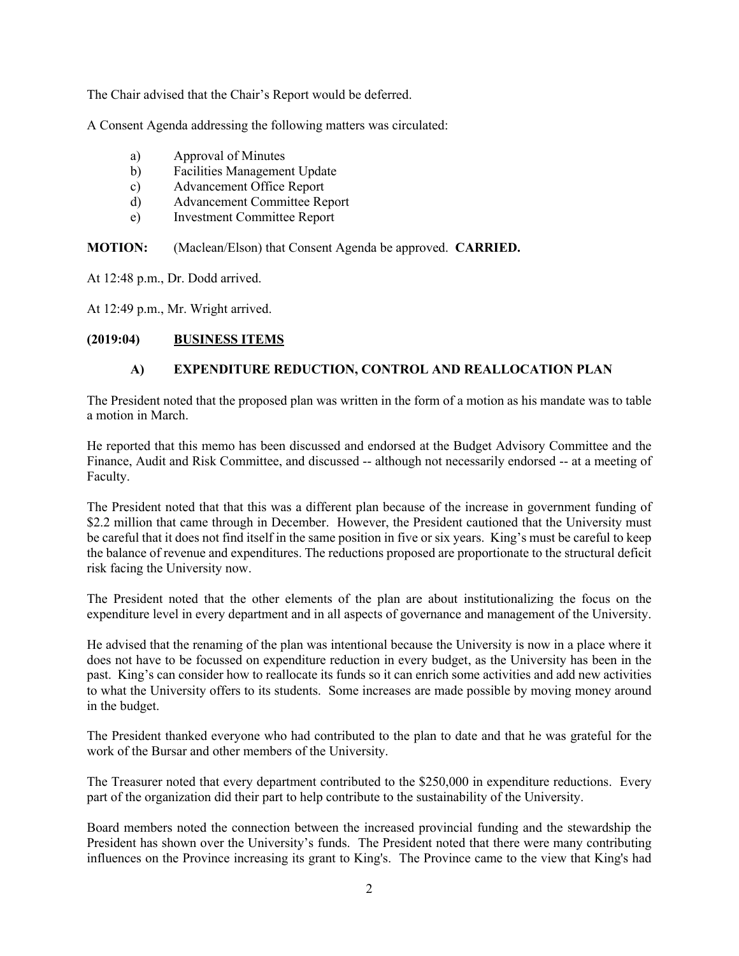The Chair advised that the Chair's Report would be deferred.

A Consent Agenda addressing the following matters was circulated:

- a) Approval of Minutes
- b) Facilities Management Update
- c) Advancement Office Report
- d) Advancement Committee Report
- e) Investment Committee Report

**MOTION:** (Maclean/Elson) that Consent Agenda be approved. **CARRIED.**

At 12:48 p.m., Dr. Dodd arrived.

At 12:49 p.m., Mr. Wright arrived.

### **(2019:04) BUSINESS ITEMS**

## **A) EXPENDITURE REDUCTION, CONTROL AND REALLOCATION PLAN**

The President noted that the proposed plan was written in the form of a motion as his mandate was to table a motion in March.

He reported that this memo has been discussed and endorsed at the Budget Advisory Committee and the Finance, Audit and Risk Committee, and discussed -- although not necessarily endorsed -- at a meeting of Faculty.

The President noted that that this was a different plan because of the increase in government funding of \$2.2 million that came through in December. However, the President cautioned that the University must be careful that it does not find itself in the same position in five or six years. King's must be careful to keep the balance of revenue and expenditures. The reductions proposed are proportionate to the structural deficit risk facing the University now.

The President noted that the other elements of the plan are about institutionalizing the focus on the expenditure level in every department and in all aspects of governance and management of the University.

He advised that the renaming of the plan was intentional because the University is now in a place where it does not have to be focussed on expenditure reduction in every budget, as the University has been in the past. King's can consider how to reallocate its funds so it can enrich some activities and add new activities to what the University offers to its students. Some increases are made possible by moving money around in the budget.

The President thanked everyone who had contributed to the plan to date and that he was grateful for the work of the Bursar and other members of the University.

The Treasurer noted that every department contributed to the \$250,000 in expenditure reductions. Every part of the organization did their part to help contribute to the sustainability of the University.

Board members noted the connection between the increased provincial funding and the stewardship the President has shown over the University's funds. The President noted that there were many contributing influences on the Province increasing its grant to King's. The Province came to the view that King's had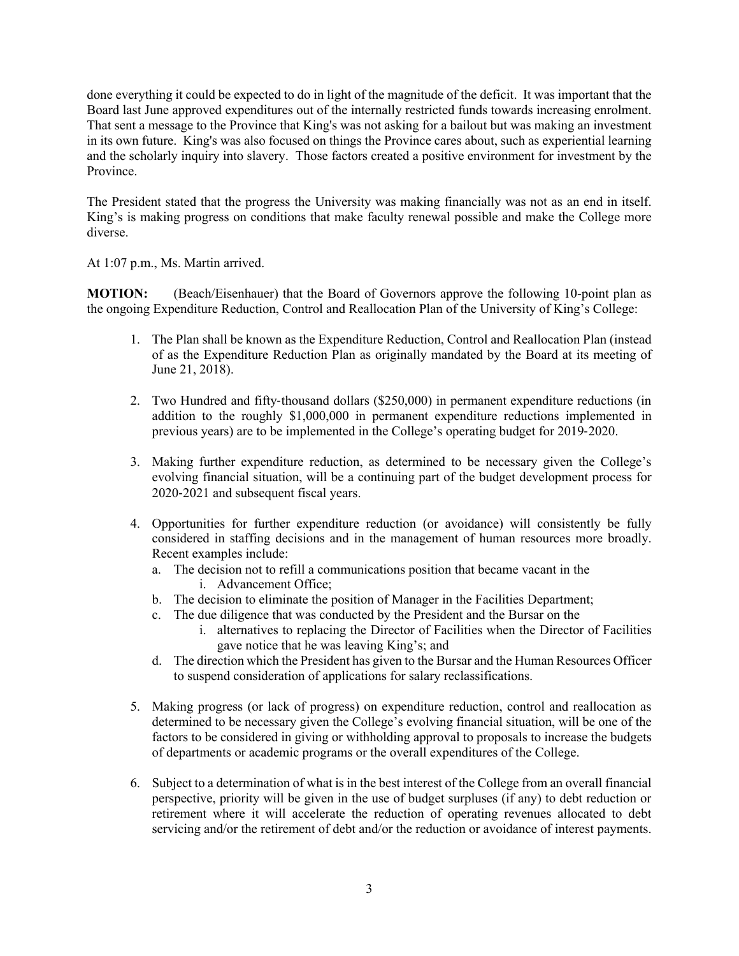done everything it could be expected to do in light of the magnitude of the deficit. It was important that the Board last June approved expenditures out of the internally restricted funds towards increasing enrolment. That sent a message to the Province that King's was not asking for a bailout but was making an investment in its own future. King's was also focused on things the Province cares about, such as experiential learning and the scholarly inquiry into slavery. Those factors created a positive environment for investment by the Province.

The President stated that the progress the University was making financially was not as an end in itself. King's is making progress on conditions that make faculty renewal possible and make the College more diverse.

At 1:07 p.m., Ms. Martin arrived.

**MOTION:** (Beach/Eisenhauer) that the Board of Governors approve the following 10-point plan as the ongoing Expenditure Reduction, Control and Reallocation Plan of the University of King's College:

- 1. The Plan shall be known as the Expenditure Reduction, Control and Reallocation Plan (instead of as the Expenditure Reduction Plan as originally mandated by the Board at its meeting of June 21, 2018).
- 2. Two Hundred and fifty-thousand dollars (\$250,000) in permanent expenditure reductions (in addition to the roughly \$1,000,000 in permanent expenditure reductions implemented in previous years) are to be implemented in the College's operating budget for 2019-2020.
- 3. Making further expenditure reduction, as determined to be necessary given the College's evolving financial situation, will be a continuing part of the budget development process for 2020-2021 and subsequent fiscal years.
- 4. Opportunities for further expenditure reduction (or avoidance) will consistently be fully considered in staffing decisions and in the management of human resources more broadly. Recent examples include:
	- a. The decision not to refill a communications position that became vacant in the i. Advancement Office;
	- b. The decision to eliminate the position of Manager in the Facilities Department;
	- c. The due diligence that was conducted by the President and the Bursar on the
		- i. alternatives to replacing the Director of Facilities when the Director of Facilities gave notice that he was leaving King's; and
	- d. The direction which the President has given to the Bursar and the Human Resources Officer to suspend consideration of applications for salary reclassifications.
- 5. Making progress (or lack of progress) on expenditure reduction, control and reallocation as determined to be necessary given the College's evolving financial situation, will be one of the factors to be considered in giving or withholding approval to proposals to increase the budgets of departments or academic programs or the overall expenditures of the College.
- 6. Subject to a determination of what is in the best interest of the College from an overall financial perspective, priority will be given in the use of budget surpluses (if any) to debt reduction or retirement where it will accelerate the reduction of operating revenues allocated to debt servicing and/or the retirement of debt and/or the reduction or avoidance of interest payments.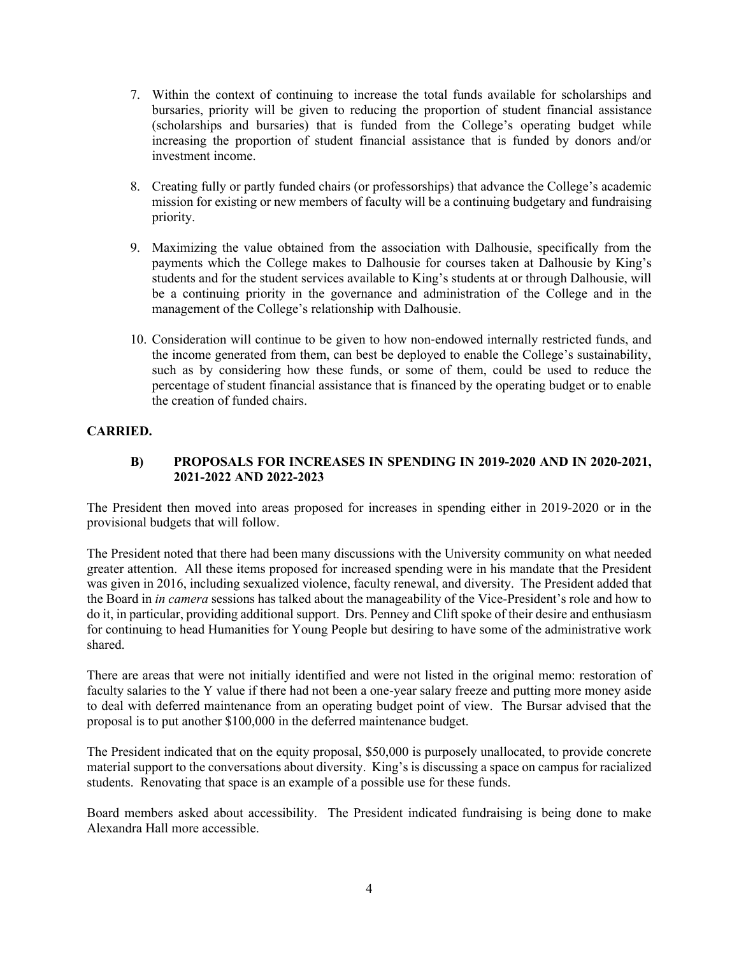- 7. Within the context of continuing to increase the total funds available for scholarships and bursaries, priority will be given to reducing the proportion of student financial assistance (scholarships and bursaries) that is funded from the College's operating budget while increasing the proportion of student financial assistance that is funded by donors and/or investment income.
- 8. Creating fully or partly funded chairs (or professorships) that advance the College's academic mission for existing or new members of faculty will be a continuing budgetary and fundraising priority.
- 9. Maximizing the value obtained from the association with Dalhousie, specifically from the payments which the College makes to Dalhousie for courses taken at Dalhousie by King's students and for the student services available to King's students at or through Dalhousie, will be a continuing priority in the governance and administration of the College and in the management of the College's relationship with Dalhousie.
- 10. Consideration will continue to be given to how non-endowed internally restricted funds, and the income generated from them, can best be deployed to enable the College's sustainability, such as by considering how these funds, or some of them, could be used to reduce the percentage of student financial assistance that is financed by the operating budget or to enable the creation of funded chairs.

## **CARRIED.**

## **B) PROPOSALS FOR INCREASES IN SPENDING IN 2019-2020 AND IN 2020-2021, 2021-2022 AND 2022-2023**

The President then moved into areas proposed for increases in spending either in 2019-2020 or in the provisional budgets that will follow.

The President noted that there had been many discussions with the University community on what needed greater attention. All these items proposed for increased spending were in his mandate that the President was given in 2016, including sexualized violence, faculty renewal, and diversity. The President added that the Board in *in camera* sessions has talked about the manageability of the Vice-President's role and how to do it, in particular, providing additional support. Drs. Penney and Clift spoke of their desire and enthusiasm for continuing to head Humanities for Young People but desiring to have some of the administrative work shared.

There are areas that were not initially identified and were not listed in the original memo: restoration of faculty salaries to the Y value if there had not been a one-year salary freeze and putting more money aside to deal with deferred maintenance from an operating budget point of view. The Bursar advised that the proposal is to put another \$100,000 in the deferred maintenance budget.

The President indicated that on the equity proposal, \$50,000 is purposely unallocated, to provide concrete material support to the conversations about diversity. King's is discussing a space on campus for racialized students. Renovating that space is an example of a possible use for these funds.

Board members asked about accessibility. The President indicated fundraising is being done to make Alexandra Hall more accessible.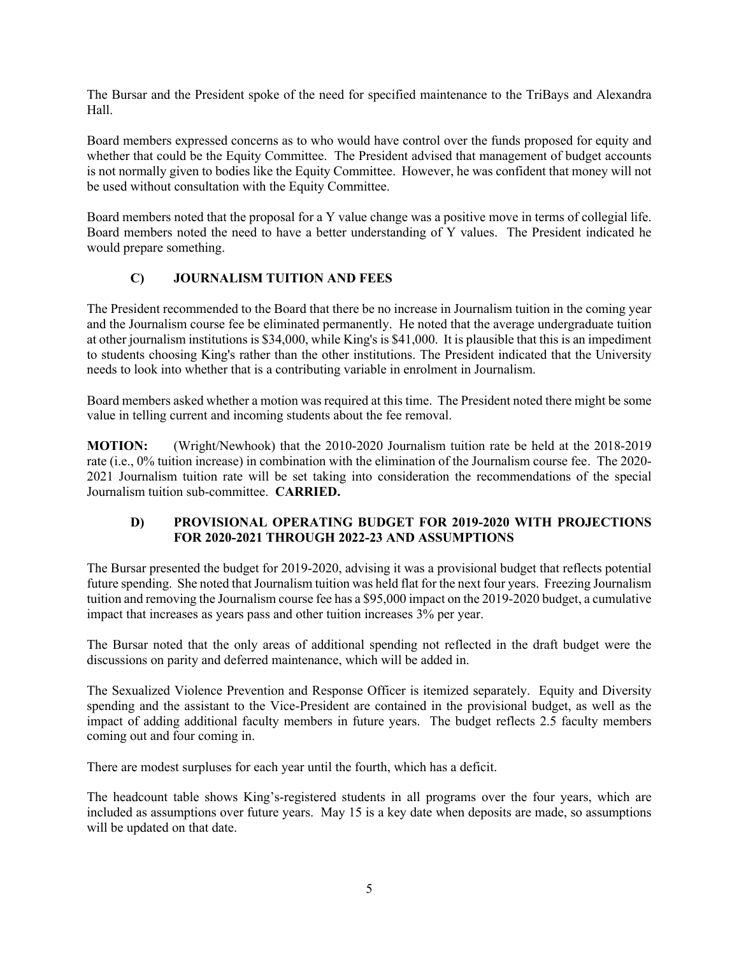The Bursar and the President spoke of the need for specified maintenance to the TriBays and Alexandra Hall.

Board members expressed concerns as to who would have control over the funds proposed for equity and whether that could be the Equity Committee. The President advised that management of budget accounts is not normally given to bodies like the Equity Committee. However, he was confident that money will not be used without consultation with the Equity Committee.

Board members noted that the proposal for a Y value change was a positive move in terms of collegial life. Board members noted the need to have a better understanding of Y values. The President indicated he would prepare something.

# **C) JOURNALISM TUITION AND FEES**

The President recommended to the Board that there be no increase in Journalism tuition in the coming year and the Journalism course fee be eliminated permanently. He noted that the average undergraduate tuition at other journalism institutions is \$34,000, while King's is \$41,000. It is plausible that this is an impediment to students choosing King's rather than the other institutions. The President indicated that the University needs to look into whether that is a contributing variable in enrolment in Journalism.

Board members asked whether a motion was required at this time. The President noted there might be some value in telling current and incoming students about the fee removal.

**MOTION:** (Wright/Newhook) that the 2010-2020 Journalism tuition rate be held at the 2018-2019 rate (i.e., 0% tuition increase) in combination with the elimination of the Journalism course fee. The 2020- 2021 Journalism tuition rate will be set taking into consideration the recommendations of the special Journalism tuition sub-committee. **CARRIED.**

## **D) PROVISIONAL OPERATING BUDGET FOR 2019-2020 WITH PROJECTIONS FOR 2020-2021 THROUGH 2022-23 AND ASSUMPTIONS**

The Bursar presented the budget for 2019-2020, advising it was a provisional budget that reflects potential future spending. She noted that Journalism tuition was held flat for the next four years. Freezing Journalism tuition and removing the Journalism course fee has a \$95,000 impact on the 2019-2020 budget, a cumulative impact that increases as years pass and other tuition increases 3% per year.

The Bursar noted that the only areas of additional spending not reflected in the draft budget were the discussions on parity and deferred maintenance, which will be added in.

The Sexualized Violence Prevention and Response Officer is itemized separately. Equity and Diversity spending and the assistant to the Vice-President are contained in the provisional budget, as well as the impact of adding additional faculty members in future years. The budget reflects 2.5 faculty members coming out and four coming in.

There are modest surpluses for each year until the fourth, which has a deficit.

The headcount table shows King's-registered students in all programs over the four years, which are included as assumptions over future years. May 15 is a key date when deposits are made, so assumptions will be updated on that date.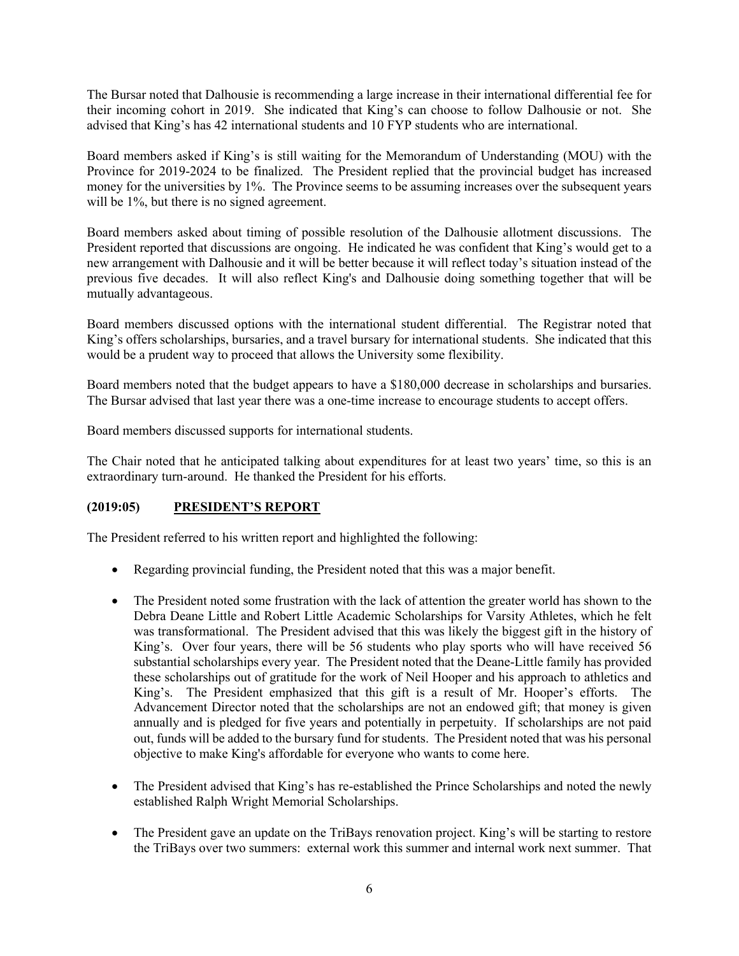The Bursar noted that Dalhousie is recommending a large increase in their international differential fee for their incoming cohort in 2019. She indicated that King's can choose to follow Dalhousie or not. She advised that King's has 42 international students and 10 FYP students who are international.

Board members asked if King's is still waiting for the Memorandum of Understanding (MOU) with the Province for 2019-2024 to be finalized. The President replied that the provincial budget has increased money for the universities by 1%. The Province seems to be assuming increases over the subsequent years will be 1%, but there is no signed agreement.

Board members asked about timing of possible resolution of the Dalhousie allotment discussions. The President reported that discussions are ongoing. He indicated he was confident that King's would get to a new arrangement with Dalhousie and it will be better because it will reflect today's situation instead of the previous five decades. It will also reflect King's and Dalhousie doing something together that will be mutually advantageous.

Board members discussed options with the international student differential. The Registrar noted that King's offers scholarships, bursaries, and a travel bursary for international students. She indicated that this would be a prudent way to proceed that allows the University some flexibility.

Board members noted that the budget appears to have a \$180,000 decrease in scholarships and bursaries. The Bursar advised that last year there was a one-time increase to encourage students to accept offers.

Board members discussed supports for international students.

The Chair noted that he anticipated talking about expenditures for at least two years' time, so this is an extraordinary turn-around. He thanked the President for his efforts.

### **(2019:05) PRESIDENT'S REPORT**

The President referred to his written report and highlighted the following:

- Regarding provincial funding, the President noted that this was a major benefit.
- The President noted some frustration with the lack of attention the greater world has shown to the Debra Deane Little and Robert Little Academic Scholarships for Varsity Athletes, which he felt was transformational. The President advised that this was likely the biggest gift in the history of King's. Over four years, there will be 56 students who play sports who will have received 56 substantial scholarships every year. The President noted that the Deane-Little family has provided these scholarships out of gratitude for the work of Neil Hooper and his approach to athletics and King's. The President emphasized that this gift is a result of Mr. Hooper's efforts. The Advancement Director noted that the scholarships are not an endowed gift; that money is given annually and is pledged for five years and potentially in perpetuity. If scholarships are not paid out, funds will be added to the bursary fund for students. The President noted that was his personal objective to make King's affordable for everyone who wants to come here.
- The President advised that King's has re-established the Prince Scholarships and noted the newly established Ralph Wright Memorial Scholarships.
- The President gave an update on the TriBays renovation project. King's will be starting to restore the TriBays over two summers: external work this summer and internal work next summer. That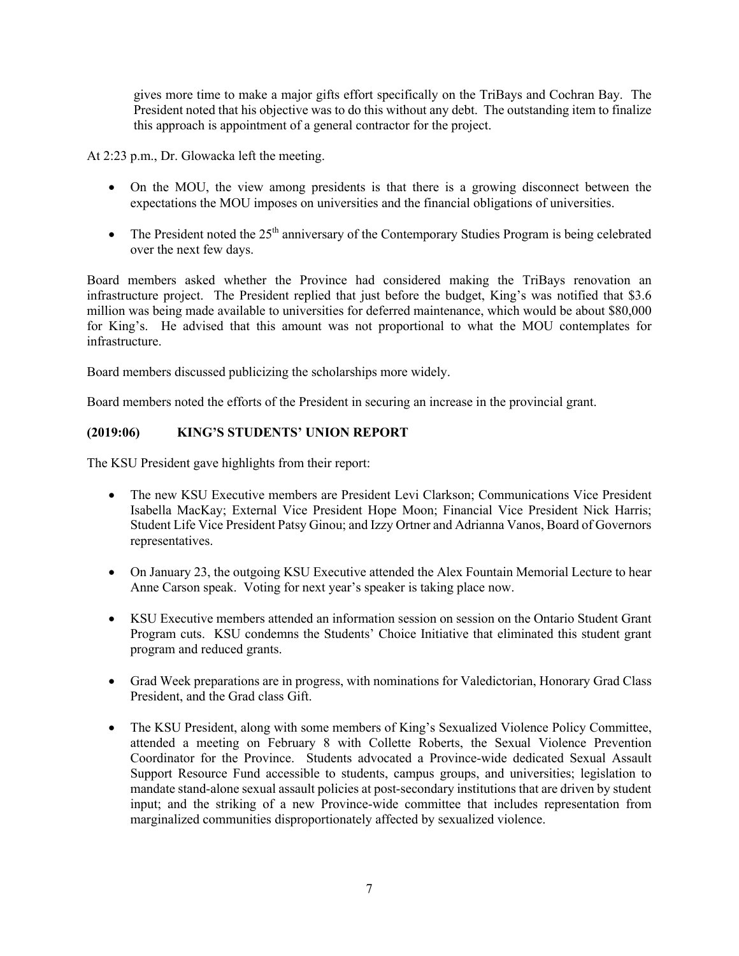gives more time to make a major gifts effort specifically on the TriBays and Cochran Bay. The President noted that his objective was to do this without any debt. The outstanding item to finalize this approach is appointment of a general contractor for the project.

At 2:23 p.m., Dr. Glowacka left the meeting.

- On the MOU, the view among presidents is that there is a growing disconnect between the expectations the MOU imposes on universities and the financial obligations of universities.
- The President noted the  $25<sup>th</sup>$  anniversary of the Contemporary Studies Program is being celebrated over the next few days.

Board members asked whether the Province had considered making the TriBays renovation an infrastructure project. The President replied that just before the budget, King's was notified that \$3.6 million was being made available to universities for deferred maintenance, which would be about \$80,000 for King's. He advised that this amount was not proportional to what the MOU contemplates for infrastructure.

Board members discussed publicizing the scholarships more widely.

Board members noted the efforts of the President in securing an increase in the provincial grant.

## **(2019:06) KING'S STUDENTS' UNION REPORT**

The KSU President gave highlights from their report:

- The new KSU Executive members are President Levi Clarkson: Communications Vice President Isabella MacKay; External Vice President Hope Moon; Financial Vice President Nick Harris; Student Life Vice President Patsy Ginou; and Izzy Ortner and Adrianna Vanos, Board of Governors representatives.
- On January 23, the outgoing KSU Executive attended the Alex Fountain Memorial Lecture to hear Anne Carson speak. Voting for next year's speaker is taking place now.
- KSU Executive members attended an information session on session on the Ontario Student Grant Program cuts. KSU condemns the Students' Choice Initiative that eliminated this student grant program and reduced grants.
- Grad Week preparations are in progress, with nominations for Valedictorian, Honorary Grad Class President, and the Grad class Gift.
- The KSU President, along with some members of King's Sexualized Violence Policy Committee, attended a meeting on February 8 with Collette Roberts, the Sexual Violence Prevention Coordinator for the Province. Students advocated a Province-wide dedicated Sexual Assault Support Resource Fund accessible to students, campus groups, and universities; legislation to mandate stand-alone sexual assault policies at post-secondary institutions that are driven by student input; and the striking of a new Province-wide committee that includes representation from marginalized communities disproportionately affected by sexualized violence.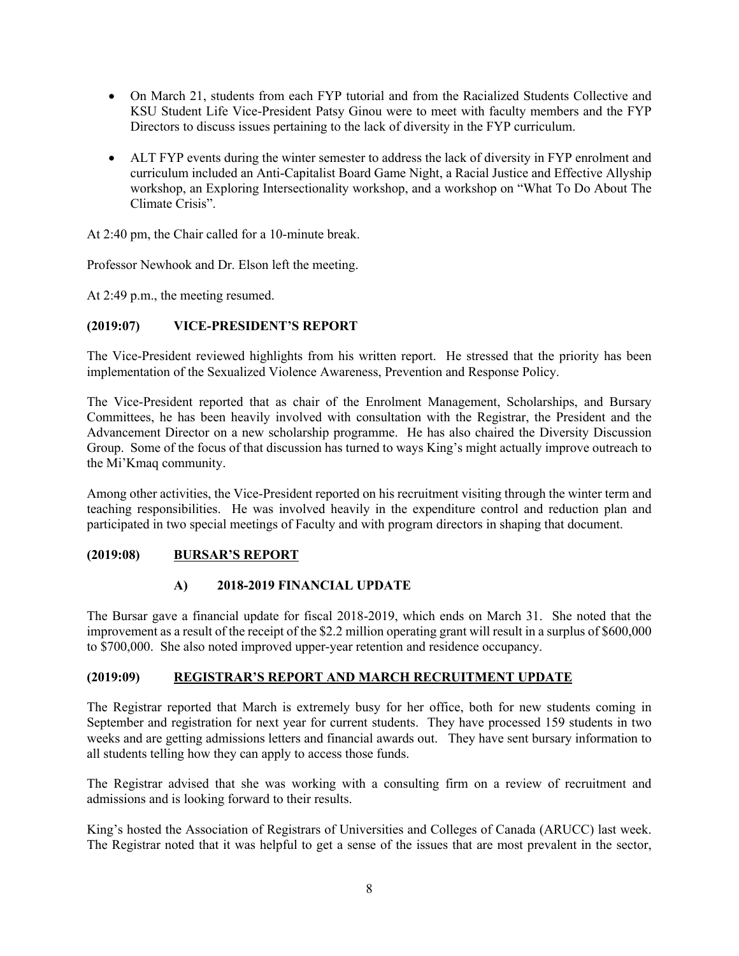- On March 21, students from each FYP tutorial and from the Racialized Students Collective and KSU Student Life Vice-President Patsy Ginou were to meet with faculty members and the FYP Directors to discuss issues pertaining to the lack of diversity in the FYP curriculum.
- ALT FYP events during the winter semester to address the lack of diversity in FYP enrolment and curriculum included an Anti-Capitalist Board Game Night, a Racial Justice and Effective Allyship workshop, an Exploring Intersectionality workshop, and a workshop on "What To Do About The Climate Crisis".

At 2:40 pm, the Chair called for a 10-minute break.

Professor Newhook and Dr. Elson left the meeting.

At 2:49 p.m., the meeting resumed.

### **(2019:07) VICE-PRESIDENT'S REPORT**

The Vice-President reviewed highlights from his written report. He stressed that the priority has been implementation of the Sexualized Violence Awareness, Prevention and Response Policy.

The Vice-President reported that as chair of the Enrolment Management, Scholarships, and Bursary Committees, he has been heavily involved with consultation with the Registrar, the President and the Advancement Director on a new scholarship programme. He has also chaired the Diversity Discussion Group. Some of the focus of that discussion has turned to ways King's might actually improve outreach to the Mi'Kmaq community.

Among other activities, the Vice-President reported on his recruitment visiting through the winter term and teaching responsibilities. He was involved heavily in the expenditure control and reduction plan and participated in two special meetings of Faculty and with program directors in shaping that document.

### **(2019:08) BURSAR'S REPORT**

### **A) 2018-2019 FINANCIAL UPDATE**

The Bursar gave a financial update for fiscal 2018-2019, which ends on March 31. She noted that the improvement as a result of the receipt of the \$2.2 million operating grant will result in a surplus of \$600,000 to \$700,000. She also noted improved upper-year retention and residence occupancy.

### **(2019:09) REGISTRAR'S REPORT AND MARCH RECRUITMENT UPDATE**

The Registrar reported that March is extremely busy for her office, both for new students coming in September and registration for next year for current students. They have processed 159 students in two weeks and are getting admissions letters and financial awards out. They have sent bursary information to all students telling how they can apply to access those funds.

The Registrar advised that she was working with a consulting firm on a review of recruitment and admissions and is looking forward to their results.

King's hosted the Association of Registrars of Universities and Colleges of Canada (ARUCC) last week. The Registrar noted that it was helpful to get a sense of the issues that are most prevalent in the sector,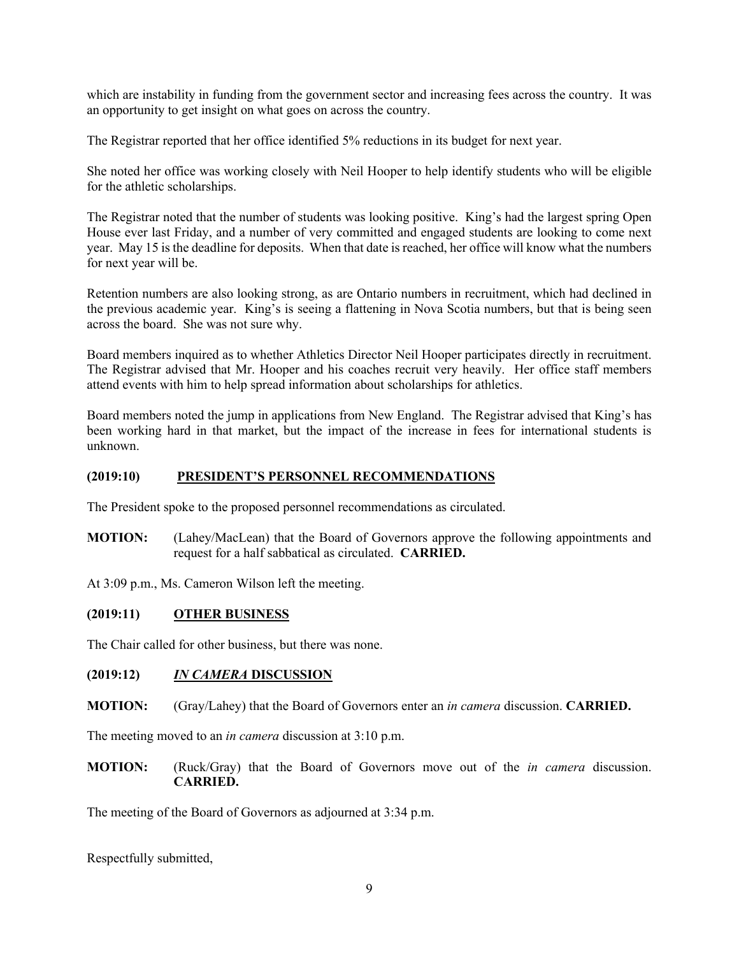which are instability in funding from the government sector and increasing fees across the country. It was an opportunity to get insight on what goes on across the country.

The Registrar reported that her office identified 5% reductions in its budget for next year.

She noted her office was working closely with Neil Hooper to help identify students who will be eligible for the athletic scholarships.

The Registrar noted that the number of students was looking positive. King's had the largest spring Open House ever last Friday, and a number of very committed and engaged students are looking to come next year. May 15 is the deadline for deposits. When that date is reached, her office will know what the numbers for next year will be.

Retention numbers are also looking strong, as are Ontario numbers in recruitment, which had declined in the previous academic year. King's is seeing a flattening in Nova Scotia numbers, but that is being seen across the board. She was not sure why.

Board members inquired as to whether Athletics Director Neil Hooper participates directly in recruitment. The Registrar advised that Mr. Hooper and his coaches recruit very heavily. Her office staff members attend events with him to help spread information about scholarships for athletics.

Board members noted the jump in applications from New England. The Registrar advised that King's has been working hard in that market, but the impact of the increase in fees for international students is unknown.

#### **(2019:10) PRESIDENT'S PERSONNEL RECOMMENDATIONS**

The President spoke to the proposed personnel recommendations as circulated.

**MOTION:** (Lahey/MacLean) that the Board of Governors approve the following appointments and request for a half sabbatical as circulated. **CARRIED.**

At 3:09 p.m., Ms. Cameron Wilson left the meeting.

### **(2019:11) OTHER BUSINESS**

The Chair called for other business, but there was none.

### **(2019:12)** *IN CAMERA* **DISCUSSION**

#### **MOTION:** (Gray/Lahey) that the Board of Governors enter an *in camera* discussion. **CARRIED.**

The meeting moved to an *in camera* discussion at 3:10 p.m.

**MOTION:** (Ruck/Gray) that the Board of Governors move out of the *in camera* discussion. **CARRIED.**

The meeting of the Board of Governors as adjourned at 3:34 p.m.

Respectfully submitted,